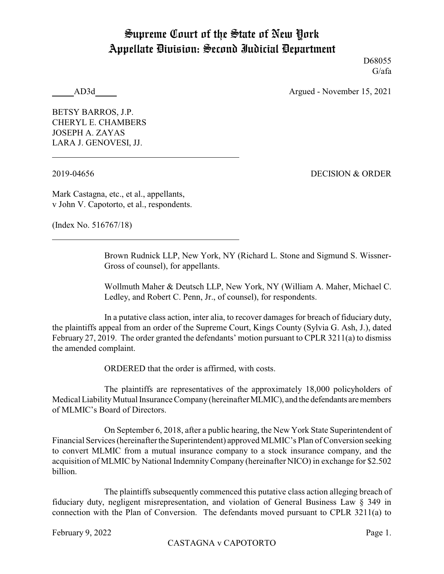## Supreme Court of the State of New York Appellate Division: Second Judicial Department

D68055 G/afa

AD3d Argued - November 15, 2021

BETSY BARROS, J.P. CHERYL E. CHAMBERS JOSEPH A. ZAYAS LARA J. GENOVESI, JJ.

2019-04656 DECISION & ORDER

Mark Castagna, etc., et al., appellants, v John V. Capotorto, et al., respondents.

(Index No. 516767/18)

Brown Rudnick LLP, New York, NY (Richard L. Stone and Sigmund S. Wissner-Gross of counsel), for appellants.

Wollmuth Maher & Deutsch LLP, New York, NY (William A. Maher, Michael C. Ledley, and Robert C. Penn, Jr., of counsel), for respondents.

In a putative class action, inter alia, to recover damages for breach of fiduciary duty, the plaintiffs appeal from an order of the Supreme Court, Kings County (Sylvia G. Ash, J.), dated February 27, 2019. The order granted the defendants' motion pursuant to CPLR 3211(a) to dismiss the amended complaint.

ORDERED that the order is affirmed, with costs.

The plaintiffs are representatives of the approximately 18,000 policyholders of Medical Liability Mutual Insurance Company (hereinafter MLMIC), and the defendants are members of MLMIC's Board of Directors.

On September 6, 2018, after a public hearing, the New York State Superintendent of Financial Services (hereinafter the Superintendent) approved MLMIC's Plan of Conversion seeking to convert MLMIC from a mutual insurance company to a stock insurance company, and the acquisition of MLMIC by National IndemnityCompany (hereinafter NICO) in exchange for \$2.502 billion.

The plaintiffs subsequently commenced this putative class action alleging breach of fiduciary duty, negligent misrepresentation, and violation of General Business Law § 349 in connection with the Plan of Conversion. The defendants moved pursuant to CPLR 3211(a) to

February 9, 2022 Page 1.